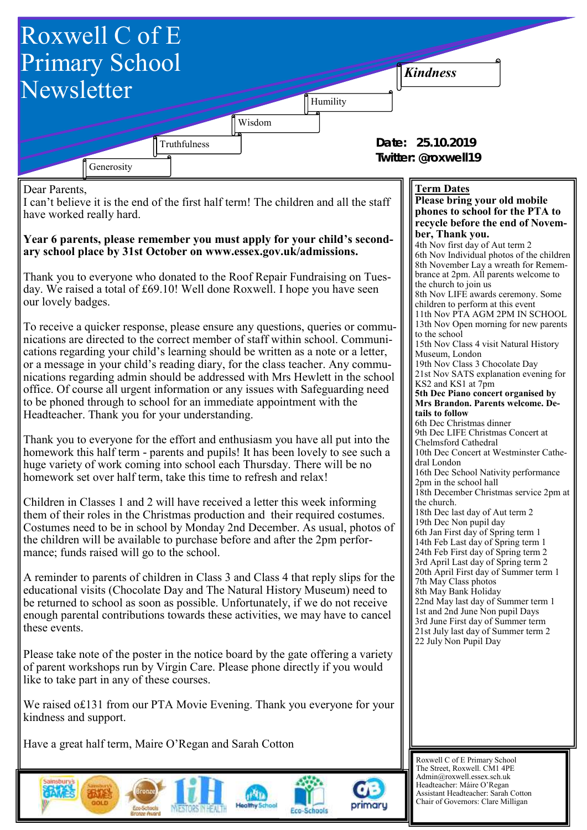